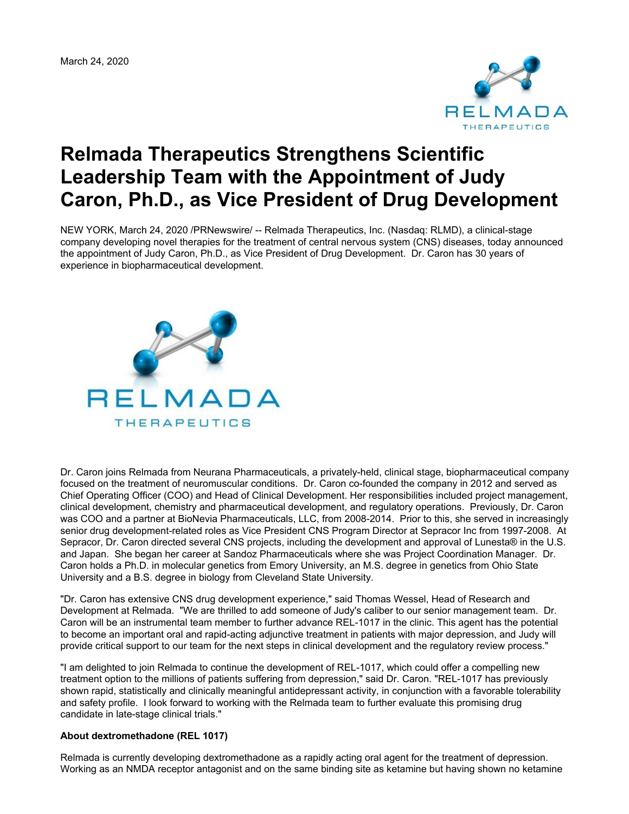March 24, 2020



## **Relmada Therapeutics Strengthens Scientific Leadership Team with the Appointment of Judy Caron, Ph.D., as Vice President of Drug Development**

NEW YORK, March 24, 2020 /PRNewswire/ -- Relmada Therapeutics, Inc. (Nasdaq: RLMD), a clinical-stage company developing novel therapies for the treatment of central nervous system (CNS) diseases, today announced the appointment of Judy Caron, Ph.D., as Vice President of Drug Development. Dr. Caron has 30 years of experience in biopharmaceutical development.



Dr. Caron joins Relmada from Neurana Pharmaceuticals, a privately-held, clinical stage, biopharmaceutical company focused on the treatment of neuromuscular conditions. Dr. Caron co-founded the company in 2012 and served as Chief Operating Officer (COO) and Head of Clinical Development. Her responsibilities included project management, clinical development, chemistry and pharmaceutical development, and regulatory operations. Previously, Dr. Caron was COO and a partner at BioNevia Pharmaceuticals, LLC, from 2008-2014. Prior to this, she served in increasingly senior drug development-related roles as Vice President CNS Program Director at Sepracor Inc from 1997-2008. At Sepracor, Dr. Caron directed several CNS projects, including the development and approval of Lunesta® in the U.S. and Japan. She began her career at Sandoz Pharmaceuticals where she was Project Coordination Manager. Dr. Caron holds a Ph.D. in molecular genetics from Emory University, an M.S. degree in genetics from Ohio State University and a B.S. degree in biology from Cleveland State University.

"Dr. Caron has extensive CNS drug development experience," said Thomas Wessel, Head of Research and Development at Relmada. "We are thrilled to add someone of Judy's caliber to our senior management team. Dr. Caron will be an instrumental team member to further advance REL-1017 in the clinic. This agent has the potential to become an important oral and rapid-acting adjunctive treatment in patients with major depression, and Judy will provide critical support to our team for the next steps in clinical development and the regulatory review process."

"I am delighted to join Relmada to continue the development of REL-1017, which could offer a compelling new treatment option to the millions of patients suffering from depression," said Dr. Caron. "REL-1017 has previously shown rapid, statistically and clinically meaningful antidepressant activity, in conjunction with a favorable tolerability and safety profile. I look forward to working with the Relmada team to further evaluate this promising drug candidate in late-stage clinical trials."

## **About dextromethadone (REL 1017)**

Relmada is currently developing dextromethadone as a rapidly acting oral agent for the treatment of depression. Working as an NMDA receptor antagonist and on the same binding site as ketamine but having shown no ketamine